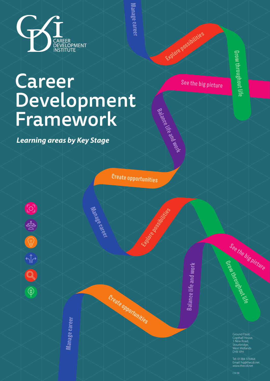See the big picture

Balance life and work

Create opportunities

Explore possibilities







Manage career



Manage career Manage career

> Grow throughout life Grow throughout life

*Learning areas by Key Stage*

## Career Development Framework

Explore possibilities



CDI 98

See the big picture